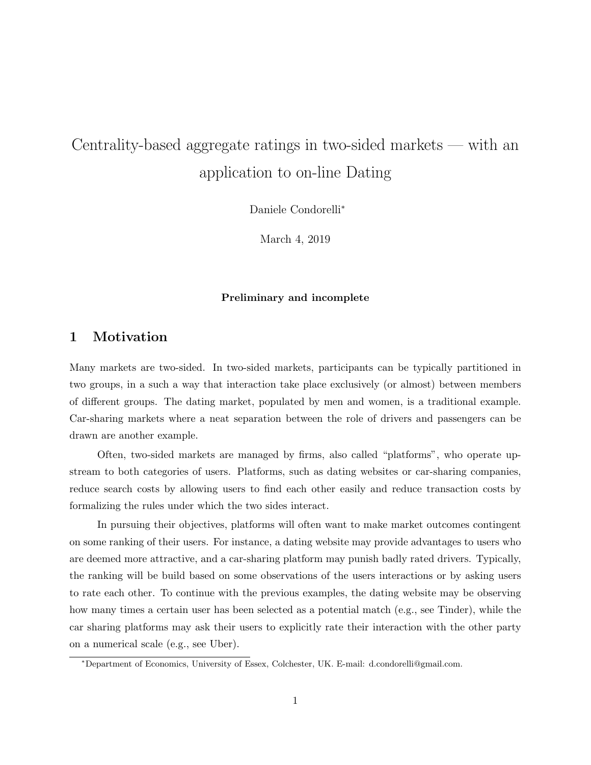# Centrality-based aggregate ratings in two-sided markets — with an application to on-line Dating

Daniele Condorelli<sup>∗</sup>

March 4, 2019

#### Preliminary and incomplete

### 1 Motivation

Many markets are two-sided. In two-sided markets, participants can be typically partitioned in two groups, in a such a way that interaction take place exclusively (or almost) between members of different groups. The dating market, populated by men and women, is a traditional example. Car-sharing markets where a neat separation between the role of drivers and passengers can be drawn are another example.

Often, two-sided markets are managed by firms, also called "platforms", who operate upstream to both categories of users. Platforms, such as dating websites or car-sharing companies, reduce search costs by allowing users to find each other easily and reduce transaction costs by formalizing the rules under which the two sides interact.

In pursuing their objectives, platforms will often want to make market outcomes contingent on some ranking of their users. For instance, a dating website may provide advantages to users who are deemed more attractive, and a car-sharing platform may punish badly rated drivers. Typically, the ranking will be build based on some observations of the users interactions or by asking users to rate each other. To continue with the previous examples, the dating website may be observing how many times a certain user has been selected as a potential match (e.g., see Tinder), while the car sharing platforms may ask their users to explicitly rate their interaction with the other party on a numerical scale (e.g., see Uber).

<sup>∗</sup>Department of Economics, University of Essex, Colchester, UK. E-mail: d.condorelli@gmail.com.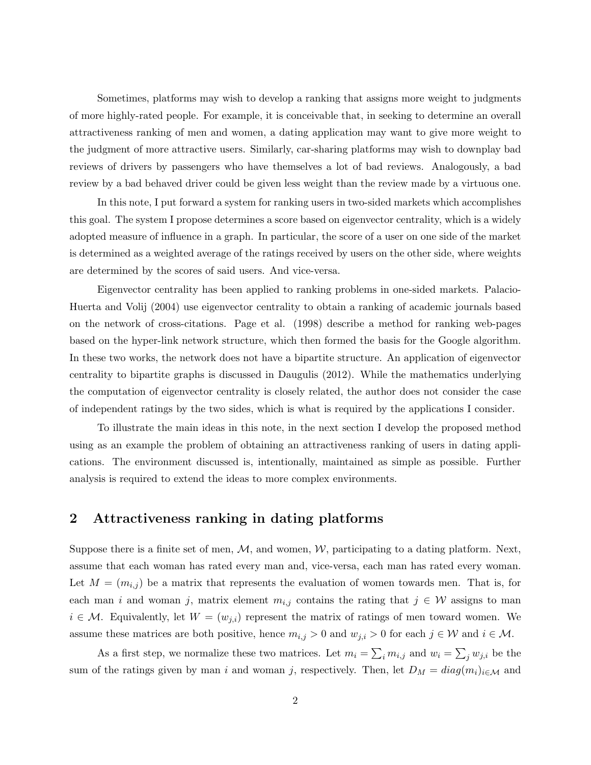Sometimes, platforms may wish to develop a ranking that assigns more weight to judgments of more highly-rated people. For example, it is conceivable that, in seeking to determine an overall attractiveness ranking of men and women, a dating application may want to give more weight to the judgment of more attractive users. Similarly, car-sharing platforms may wish to downplay bad reviews of drivers by passengers who have themselves a lot of bad reviews. Analogously, a bad review by a bad behaved driver could be given less weight than the review made by a virtuous one.

In this note, I put forward a system for ranking users in two-sided markets which accomplishes this goal. The system I propose determines a score based on eigenvector centrality, which is a widely adopted measure of influence in a graph. In particular, the score of a user on one side of the market is determined as a weighted average of the ratings received by users on the other side, where weights are determined by the scores of said users. And vice-versa.

Eigenvector centrality has been applied to ranking problems in one-sided markets. Palacio-Huerta and Volij (2004) use eigenvector centrality to obtain a ranking of academic journals based on the network of cross-citations. Page et al. (1998) describe a method for ranking web-pages based on the hyper-link network structure, which then formed the basis for the Google algorithm. In these two works, the network does not have a bipartite structure. An application of eigenvector centrality to bipartite graphs is discussed in Daugulis (2012). While the mathematics underlying the computation of eigenvector centrality is closely related, the author does not consider the case of independent ratings by the two sides, which is what is required by the applications I consider.

To illustrate the main ideas in this note, in the next section I develop the proposed method using as an example the problem of obtaining an attractiveness ranking of users in dating applications. The environment discussed is, intentionally, maintained as simple as possible. Further analysis is required to extend the ideas to more complex environments.

#### 2 Attractiveness ranking in dating platforms

Suppose there is a finite set of men,  $M$ , and women,  $W$ , participating to a dating platform. Next, assume that each woman has rated every man and, vice-versa, each man has rated every woman. Let  $M = (m_{i,j})$  be a matrix that represents the evaluation of women towards men. That is, for each man i and woman j, matrix element  $m_{i,j}$  contains the rating that  $j \in W$  assigns to man  $i \in \mathcal{M}$ . Equivalently, let  $W = (w_{j,i})$  represent the matrix of ratings of men toward women. We assume these matrices are both positive, hence  $m_{i,j} > 0$  and  $w_{j,i} > 0$  for each  $j \in \mathcal{W}$  and  $i \in \mathcal{M}$ .

As a first step, we normalize these two matrices. Let  $m_i = \sum_i m_{i,j}$  and  $w_i = \sum_j w_{j,i}$  be the sum of the ratings given by man i and woman j, respectively. Then, let  $D_M = diag(m_i)_{i \in \mathcal{M}}$  and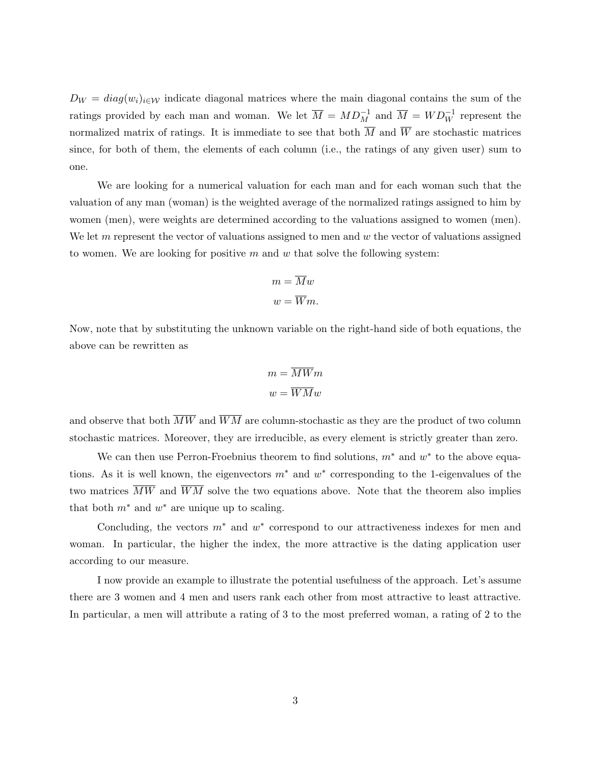$D_W = diag(w_i)_{i \in \mathcal{W}}$  indicate diagonal matrices where the main diagonal contains the sum of the ratings provided by each man and woman. We let  $\overline{M} = M D_M^{-1}$  and  $\overline{M} = W D_W^{-1}$  represent the normalized matrix of ratings. It is immediate to see that both  $\overline{M}$  and  $\overline{W}$  are stochastic matrices since, for both of them, the elements of each column (i.e., the ratings of any given user) sum to one.

We are looking for a numerical valuation for each man and for each woman such that the valuation of any man (woman) is the weighted average of the normalized ratings assigned to him by women (men), were weights are determined according to the valuations assigned to women (men). We let m represent the vector of valuations assigned to men and  $w$  the vector of valuations assigned to women. We are looking for positive  $m$  and  $w$  that solve the following system:

$$
m = \overline{M}w
$$

$$
w = \overline{W}m.
$$

Now, note that by substituting the unknown variable on the right-hand side of both equations, the above can be rewritten as

$$
m = \overline{M}\overline{W}m
$$

$$
w = \overline{W}\overline{M}w
$$

and observe that both  $\overline{MW}$  and  $\overline{WM}$  are column-stochastic as they are the product of two column stochastic matrices. Moreover, they are irreducible, as every element is strictly greater than zero.

We can then use Perron-Froebnius theorem to find solutions,  $m^*$  and  $w^*$  to the above equations. As it is well known, the eigenvectors  $m^*$  and  $w^*$  corresponding to the 1-eigenvalues of the two matrices  $\overline{MW}$  and  $\overline{WM}$  solve the two equations above. Note that the theorem also implies that both  $m^*$  and  $w^*$  are unique up to scaling.

Concluding, the vectors  $m^*$  and  $w^*$  correspond to our attractiveness indexes for men and woman. In particular, the higher the index, the more attractive is the dating application user according to our measure.

I now provide an example to illustrate the potential usefulness of the approach. Let's assume there are 3 women and 4 men and users rank each other from most attractive to least attractive. In particular, a men will attribute a rating of 3 to the most preferred woman, a rating of 2 to the